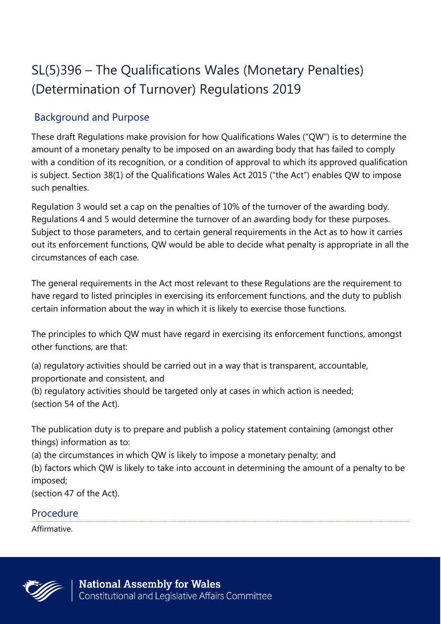# SL(5)396 – The Qualifications Wales (Monetary Penalties) (Determination of Turnover) Regulations 2019

# Background and Purpose

These draft Regulations make provision for how Qualifications Wales ("QW") is to determine the amount of a monetary penalty to be imposed on an awarding body that has failed to comply with a condition of its recognition, or a condition of approval to which its approved qualification is subject. Section 38(1) of the Qualifications Wales Act 2015 ("the Act") enables QW to impose such penalties.

Regulation 3 would set a cap on the penalties of 10% of the turnover of the awarding body. Regulations 4 and 5 would determine the turnover of an awarding body for these purposes. Subject to those parameters, and to certain general requirements in the Act as to how it carries out its enforcement functions, QW would be able to decide what penalty is appropriate in all the circumstances of each case.

The general requirements in the Act most relevant to these Regulations are the requirement to have regard to listed principles in exercising its enforcement functions, and the duty to publish certain information about the way in which it is likely to exercise those functions.

The principles to which QW must have regard in exercising its enforcement functions, amongst other functions, are that:

(a) regulatory activities should be carried out in a way that is transparent, accountable, proportionate and consistent, and (b) regulatory activities should be targeted only at cases in which action is needed; (section 54 of the Act).

The publication duty is to prepare and publish a policy statement containing (amongst other things) information as to:

(a) the circumstances in which QW is likely to impose a monetary penalty; and

(b) factors which QW is likely to take into account in determining the amount of a penalty to be imposed;

(section 47 of the Act).

### Procedure

Affirmative.

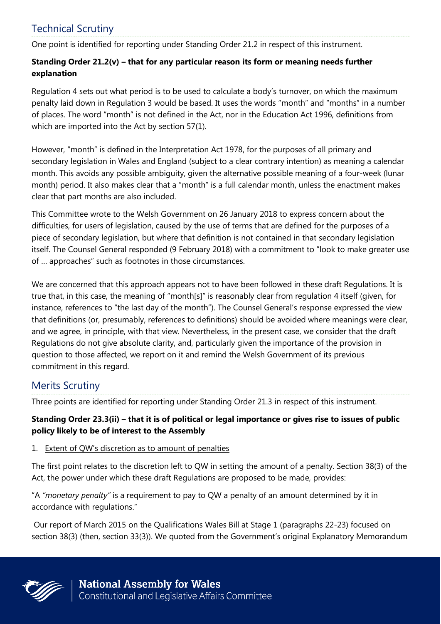# Technical Scrutiny

One point is identified for reporting under Standing Order 21.2 in respect of this instrument.

#### **Standing Order 21.2(v) – that for any particular reason its form or meaning needs further explanation**

Regulation 4 sets out what period is to be used to calculate a body's turnover, on which the maximum penalty laid down in Regulation 3 would be based. It uses the words "month" and "months" in a number of places. The word "month" is not defined in the Act, nor in the Education Act 1996, definitions from which are imported into the Act by section 57(1).

However, "month" is defined in the Interpretation Act 1978, for the purposes of all primary and secondary legislation in Wales and England (subject to a clear contrary intention) as meaning a calendar month. This avoids any possible ambiguity, given the alternative possible meaning of a four-week (lunar month) period. It also makes clear that a "month" is a full calendar month, unless the enactment makes clear that part months are also included.

This Committee wrote to the Welsh Government on 26 January 2018 to express concern about the difficulties, for users of legislation, caused by the use of terms that are defined for the purposes of a piece of secondary legislation, but where that definition is not contained in that secondary legislation itself. The Counsel General responded (9 February 2018) with a commitment to "look to make greater use of … approaches" such as footnotes in those circumstances.

We are concerned that this approach appears not to have been followed in these draft Regulations. It is true that, in this case, the meaning of "month[s]" is reasonably clear from regulation 4 itself (given, for instance, references to "the last day of the month"). The Counsel General's response expressed the view that definitions (or, presumably, references to definitions) should be avoided where meanings were clear, and we agree, in principle, with that view. Nevertheless, in the present case, we consider that the draft Regulations do not give absolute clarity, and, particularly given the importance of the provision in question to those affected, we report on it and remind the Welsh Government of its previous commitment in this regard.

### Merits Scrutiny

Three points are identified for reporting under Standing Order 21.3 in respect of this instrument.

#### **Standing Order 23.3(ii) – that it is of political or legal importance or gives rise to issues of public policy likely to be of interest to the Assembly**

#### 1. Extent of QW's discretion as to amount of penalties

The first point relates to the discretion left to QW in setting the amount of a penalty. Section 38(3) of the Act, the power under which these draft Regulations are proposed to be made, provides:

"A *"monetary penalty"* is a requirement to pay to QW a penalty of an amount determined by it in accordance with regulations."

Our report of March 2015 on the Qualifications Wales Bill at Stage 1 (paragraphs 22-23) focused on section 38(3) (then, section 33(3)). We quoted from the Government's original Explanatory Memorandum

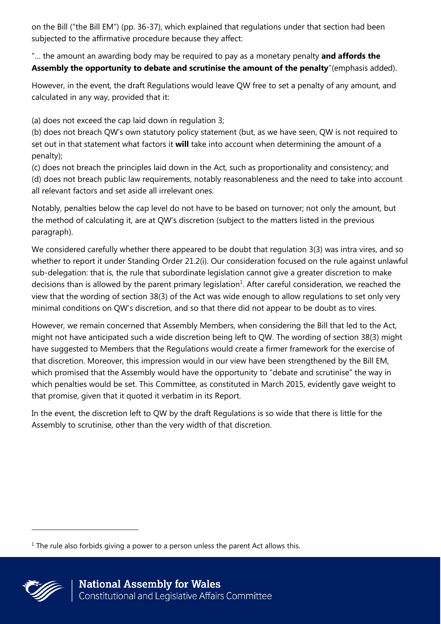on the Bill ("the Bill EM") (pp. 36-37), which explained that regulations under that section had been subjected to the affirmative procedure because they affect:

"… the amount an awarding body may be required to pay as a monetary penalty **and affords the Assembly the opportunity to debate and scrutinise the amount of the penalty**"(emphasis added).

However, in the event, the draft Regulations would leave QW free to set a penalty of any amount, and calculated in any way, provided that it:

(a) does not exceed the cap laid down in regulation 3;

(b) does not breach QW's own statutory policy statement (but, as we have seen, QW is not required to set out in that statement what factors it **will** take into account when determining the amount of a penalty);

(c) does not breach the principles laid down in the Act, such as proportionality and consistency; and (d) does not breach public law requirements, notably reasonableness and the need to take into account all relevant factors and set aside all irrelevant ones.

Notably, penalties below the cap level do not have to be based on turnover; not only the amount, but the method of calculating it, are at QW's discretion (subject to the matters listed in the previous paragraph).

We considered carefully whether there appeared to be doubt that regulation 3(3) was intra vires, and so whether to report it under Standing Order 21.2(i). Our consideration focused on the rule against unlawful sub-delegation: that is, the rule that subordinate legislation cannot give a greater discretion to make decisions than is allowed by the parent primary legislation<sup>1</sup>. After careful consideration, we reached the view that the wording of section 38(3) of the Act was wide enough to allow regulations to set only very minimal conditions on QW's discretion, and so that there did not appear to be doubt as to vires.

However, we remain concerned that Assembly Members, when considering the Bill that led to the Act, might not have anticipated such a wide discretion being left to QW. The wording of section 38(3) might have suggested to Members that the Regulations would create a firmer framework for the exercise of that discretion. Moreover, this impression would in our view have been strengthened by the Bill EM, which promised that the Assembly would have the opportunity to "debate and scrutinise" the way in which penalties would be set. This Committee, as constituted in March 2015, evidently gave weight to that promise, given that it quoted it verbatim in its Report.

In the event, the discretion left to QW by the draft Regulations is so wide that there is little for the Assembly to scrutinise, other than the very width of that discretion.

 $1$  The rule also forbids giving a power to a person unless the parent Act allows this.

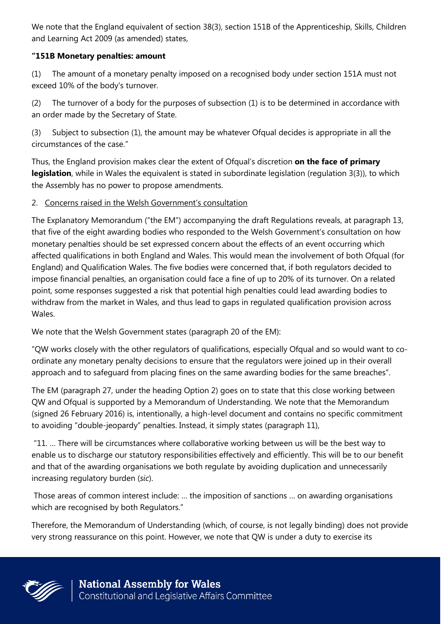We note that the England equivalent of section 38(3), section 151B of the Apprenticeship, Skills, Children and Learning Act 2009 (as amended) states,

#### **"151B Monetary penalties: amount**

(1) The amount of a monetary penalty imposed on a recognised body under section 151A must not exceed 10% of the body's turnover.

(2) The turnover of a body for the purposes of subsection (1) is to be determined in accordance with an order made by the Secretary of State.

(3) Subject to subsection (1), the amount may be whatever Ofqual decides is appropriate in all the circumstances of the case."

Thus, the England provision makes clear the extent of Ofqual's discretion **on the face of primary legislation**, while in Wales the equivalent is stated in subordinate legislation (regulation 3(3)), to which the Assembly has no power to propose amendments.

#### 2. Concerns raised in the Welsh Government's consultation

The Explanatory Memorandum ("the EM") accompanying the draft Regulations reveals, at paragraph 13, that five of the eight awarding bodies who responded to the Welsh Government's consultation on how monetary penalties should be set expressed concern about the effects of an event occurring which affected qualifications in both England and Wales. This would mean the involvement of both Ofqual (for England) and Qualification Wales. The five bodies were concerned that, if both regulators decided to impose financial penalties, an organisation could face a fine of up to 20% of its turnover. On a related point, some responses suggested a risk that potential high penalties could lead awarding bodies to withdraw from the market in Wales, and thus lead to gaps in regulated qualification provision across Wales.

We note that the Welsh Government states (paragraph 20 of the EM):

"QW works closely with the other regulators of qualifications, especially Ofqual and so would want to coordinate any monetary penalty decisions to ensure that the regulators were joined up in their overall approach and to safeguard from placing fines on the same awarding bodies for the same breaches".

The EM (paragraph 27, under the heading Option 2) goes on to state that this close working between QW and Ofqual is supported by a Memorandum of Understanding. We note that the Memorandum (signed 26 February 2016) is, intentionally, a high-level document and contains no specific commitment to avoiding "double-jeopardy" penalties. Instead, it simply states (paragraph 11),

"11. … There will be circumstances where collaborative working between us will be the best way to enable us to discharge our statutory responsibilities effectively and efficiently. This will be to our benefit and that of the awarding organisations we both regulate by avoiding duplication and unnecessarily increasing regulatory burden (*sic*).

Those areas of common interest include: … the imposition of sanctions … on awarding organisations which are recognised by both Regulators."

Therefore, the Memorandum of Understanding (which, of course, is not legally binding) does not provide very strong reassurance on this point. However, we note that QW is under a duty to exercise its

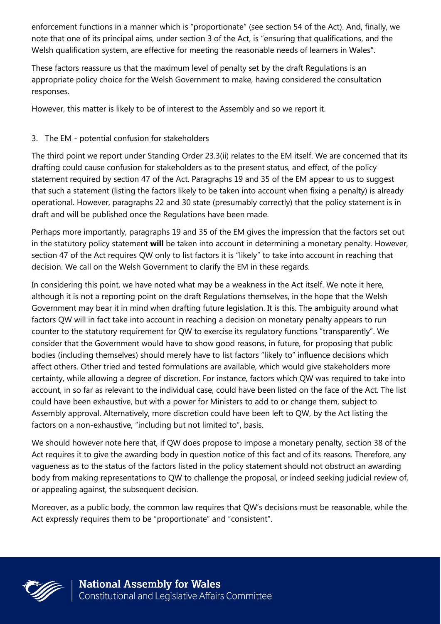enforcement functions in a manner which is "proportionate" (see section 54 of the Act). And, finally, we note that one of its principal aims, under section 3 of the Act, is "ensuring that qualifications, and the Welsh qualification system, are effective for meeting the reasonable needs of learners in Wales".

These factors reassure us that the maximum level of penalty set by the draft Regulations is an appropriate policy choice for the Welsh Government to make, having considered the consultation responses.

However, this matter is likely to be of interest to the Assembly and so we report it.

#### 3. The EM - potential confusion for stakeholders

The third point we report under Standing Order 23.3(ii) relates to the EM itself. We are concerned that its drafting could cause confusion for stakeholders as to the present status, and effect, of the policy statement required by section 47 of the Act. Paragraphs 19 and 35 of the EM appear to us to suggest that such a statement (listing the factors likely to be taken into account when fixing a penalty) is already operational. However, paragraphs 22 and 30 state (presumably correctly) that the policy statement is in draft and will be published once the Regulations have been made.

Perhaps more importantly, paragraphs 19 and 35 of the EM gives the impression that the factors set out in the statutory policy statement **will** be taken into account in determining a monetary penalty. However, section 47 of the Act requires QW only to list factors it is "likely" to take into account in reaching that decision. We call on the Welsh Government to clarify the EM in these regards.

In considering this point, we have noted what may be a weakness in the Act itself. We note it here, although it is not a reporting point on the draft Regulations themselves, in the hope that the Welsh Government may bear it in mind when drafting future legislation. It is this. The ambiguity around what factors QW will in fact take into account in reaching a decision on monetary penalty appears to run counter to the statutory requirement for QW to exercise its regulatory functions "transparently". We consider that the Government would have to show good reasons, in future, for proposing that public bodies (including themselves) should merely have to list factors "likely to" influence decisions which affect others. Other tried and tested formulations are available, which would give stakeholders more certainty, while allowing a degree of discretion. For instance, factors which QW was required to take into account, in so far as relevant to the individual case, could have been listed on the face of the Act. The list could have been exhaustive, but with a power for Ministers to add to or change them, subject to Assembly approval. Alternatively, more discretion could have been left to QW, by the Act listing the factors on a non-exhaustive, "including but not limited to", basis.

We should however note here that, if QW does propose to impose a monetary penalty, section 38 of the Act requires it to give the awarding body in question notice of this fact and of its reasons. Therefore, any vagueness as to the status of the factors listed in the policy statement should not obstruct an awarding body from making representations to QW to challenge the proposal, or indeed seeking judicial review of, or appealing against, the subsequent decision.

Moreover, as a public body, the common law requires that QW's decisions must be reasonable, while the Act expressly requires them to be "proportionate" and "consistent".